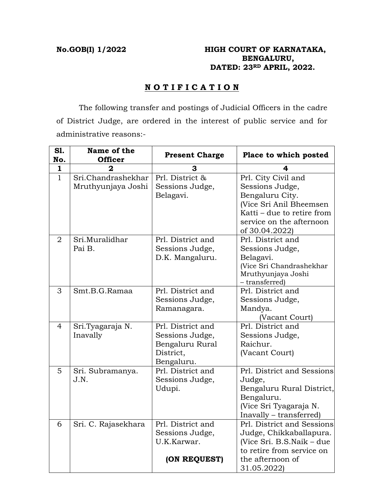## **No.GOB(I) 1/2022 HIGH COURT OF KARNATAKA, BENGALURU, DATED: 23RD APRIL, 2022.**

# **N O T I F I C A T I O N**

 The following transfer and postings of Judicial Officers in the cadre of District Judge, are ordered in the interest of public service and for administrative reasons:-

| S1.<br>No.   | Name of the<br><b>Officer</b>            | <b>Present Charge</b>                                                              | Place to which posted                                                                                                                                            |
|--------------|------------------------------------------|------------------------------------------------------------------------------------|------------------------------------------------------------------------------------------------------------------------------------------------------------------|
| $\mathbf{1}$ |                                          | З                                                                                  |                                                                                                                                                                  |
| $\mathbf{1}$ | Sri.Chandrashekhar<br>Mruthyunjaya Joshi | Prl. District &<br>Sessions Judge,<br>Belagavi.                                    | Prl. City Civil and<br>Sessions Judge,<br>Bengaluru City.<br>(Vice Sri Anil Bheemsen<br>Katti – due to retire from<br>service on the afternoon<br>of 30.04.2022) |
| 2            | Sri.Muralidhar<br>Pai B.                 | Prl. District and<br>Sessions Judge,<br>D.K. Mangaluru.                            | Prl. District and<br>Sessions Judge,<br>Belagavi.<br>(Vice Sri Chandrashekhar<br>Mruthyunjaya Joshi<br>- transferred)                                            |
| 3            | Smt.B.G.Ramaa                            | Prl. District and<br>Sessions Judge,<br>Ramanagara.                                | Prl. District and<br>Sessions Judge,<br>Mandya.<br>(Vacant Court)                                                                                                |
| 4            | Sri.Tyagaraja N.<br>Inavally             | Prl. District and<br>Sessions Judge,<br>Bengaluru Rural<br>District,<br>Bengaluru. | Prl. District and<br>Sessions Judge,<br>Raichur.<br>(Vacant Court)                                                                                               |
| 5            | Sri. Subramanya.<br>J.N.                 | Prl. District and<br>Sessions Judge,<br>Udupi.                                     | Prl. District and Sessions<br>Judge,<br>Bengaluru Rural District,<br>Bengaluru.<br>(Vice Sri Tyagaraja N.<br>Inavally - transferred)                             |
| 6            | Sri. C. Rajasekhara                      | Prl. District and<br>Sessions Judge,<br>U.K.Karwar.<br>(ON REQUEST)                | Prl. District and Sessions<br>Judge, Chikkaballapura.<br>(Vice Sri. B.S.Naik - due<br>to retire from service on<br>the afternoon of                              |
|              |                                          |                                                                                    | 31.05.2022)                                                                                                                                                      |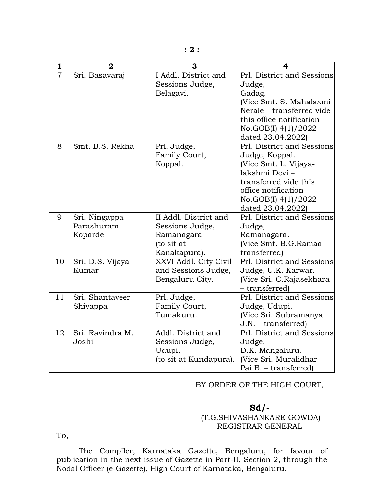| $\mathbf{1}$   | $\mathbf{2}$     | 3                      | 4                          |
|----------------|------------------|------------------------|----------------------------|
| $\overline{7}$ | Sri. Basavaraj   | I Addl. District and   | Prl. District and Sessions |
|                |                  | Sessions Judge,        | Judge,                     |
|                |                  | Belagavi.              | Gadag.                     |
|                |                  |                        | (Vice Smt. S. Mahalaxmi    |
|                |                  |                        | Nerale - transferred vide  |
|                |                  |                        | this office notification   |
|                |                  |                        | No.GOB(I) 4(1)/2022        |
|                |                  |                        | dated 23.04.2022)          |
| 8              | Smt. B.S. Rekha  | Prl. Judge,            | Prl. District and Sessions |
|                |                  | Family Court,          | Judge, Koppal.             |
|                |                  | Koppal.                | (Vice Smt. L. Vijaya-      |
|                |                  |                        | lakshmi Devi-              |
|                |                  |                        | transferred vide this      |
|                |                  |                        | office notification        |
|                |                  |                        | No.GOB(I) 4(1)/2022        |
|                |                  |                        | dated 23.04.2022)          |
| 9              | Sri. Ningappa    | II Addl. District and  | Prl. District and Sessions |
|                | Parashuram       | Sessions Judge,        | Judge,                     |
|                | Koparde          | Ramanagara             | Ramanagara.                |
|                |                  | (to sit at             | (Vice Smt. B.G.Ramaa -     |
|                |                  | Kanakapura).           | transferred)               |
| 10             | Sri. D.S. Vijaya | XXVI Addl. City Civil  | Prl. District and Sessions |
|                | Kumar            | and Sessions Judge,    | Judge, U.K. Karwar.        |
|                |                  | Bengaluru City.        | (Vice Sri. C.Rajasekhara   |
|                |                  |                        | - transferred)             |
| 11             | Sri. Shantaveer  | Prl. Judge,            | Prl. District and Sessions |
|                | Shivappa         | Family Court,          | Judge, Udupi.              |
|                |                  | Tumakuru.              | (Vice Sri. Subramanya      |
|                |                  |                        | $J.N. - transferred)$      |
| 12             | Sri. Ravindra M. | Addl. District and     | Prl. District and Sessions |
|                | Joshi            | Sessions Judge,        | Judge,                     |
|                |                  | Udupi,                 | D.K. Mangaluru.            |
|                |                  | (to sit at Kundapura). | (Vice Sri. Muralidhar      |
|                |                  |                        | Pai B. - transferred)      |

#### BY ORDER OF THE HIGH COURT,

### **Sd/-**  (T.G.SHIVASHANKARE GOWDA) REGISTRAR GENERAL

To,

 The Compiler, Karnataka Gazette, Bengaluru, for favour of publication in the next issue of Gazette in Part-II, Section 2, through the Nodal Officer (e-Gazette), High Court of Karnataka, Bengaluru.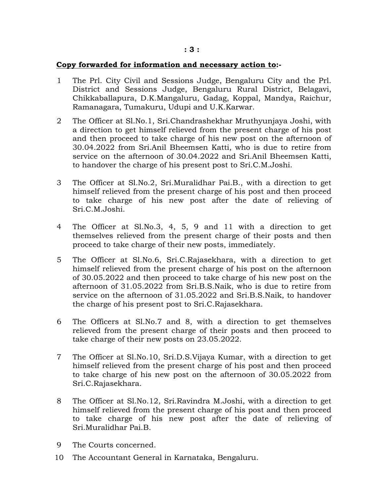#### **Copy forwarded for information and necessary action to:-**

- 1 The Prl. City Civil and Sessions Judge, Bengaluru City and the Prl. District and Sessions Judge, Bengaluru Rural District, Belagavi, Chikkaballapura, D.K.Mangaluru, Gadag, Koppal, Mandya, Raichur, Ramanagara, Tumakuru, Udupi and U.K.Karwar.
- 2 The Officer at Sl.No.1, Sri.Chandrashekhar Mruthyunjaya Joshi, with a direction to get himself relieved from the present charge of his post and then proceed to take charge of his new post on the afternoon of 30.04.2022 from Sri.Anil Bheemsen Katti, who is due to retire from service on the afternoon of 30.04.2022 and Sri.Anil Bheemsen Katti, to handover the charge of his present post to Sri.C.M.Joshi.
- 3 The Officer at Sl.No.2, Sri.Muralidhar Pai.B., with a direction to get himself relieved from the present charge of his post and then proceed to take charge of his new post after the date of relieving of Sri.C.M.Joshi.
- 4 The Officer at Sl.No.3, 4, 5, 9 and 11 with a direction to get themselves relieved from the present charge of their posts and then proceed to take charge of their new posts, immediately.
- 5 The Officer at Sl.No.6, Sri.C.Rajasekhara, with a direction to get himself relieved from the present charge of his post on the afternoon of 30.05.2022 and then proceed to take charge of his new post on the afternoon of 31.05.2022 from Sri.B.S.Naik, who is due to retire from service on the afternoon of 31.05.2022 and Sri.B.S.Naik, to handover the charge of his present post to Sri.C.Rajasekhara.
- 6 The Officers at Sl.No.7 and 8, with a direction to get themselves relieved from the present charge of their posts and then proceed to take charge of their new posts on 23.05.2022.
- 7 The Officer at Sl.No.10, Sri.D.S.Vijaya Kumar, with a direction to get himself relieved from the present charge of his post and then proceed to take charge of his new post on the afternoon of 30.05.2022 from Sri.C.Rajasekhara.
- 8 The Officer at Sl.No.12, Sri.Ravindra M.Joshi, with a direction to get himself relieved from the present charge of his post and then proceed to take charge of his new post after the date of relieving of Sri.Muralidhar Pai.B.
- 9 The Courts concerned.
- 10 The Accountant General in Karnataka, Bengaluru.